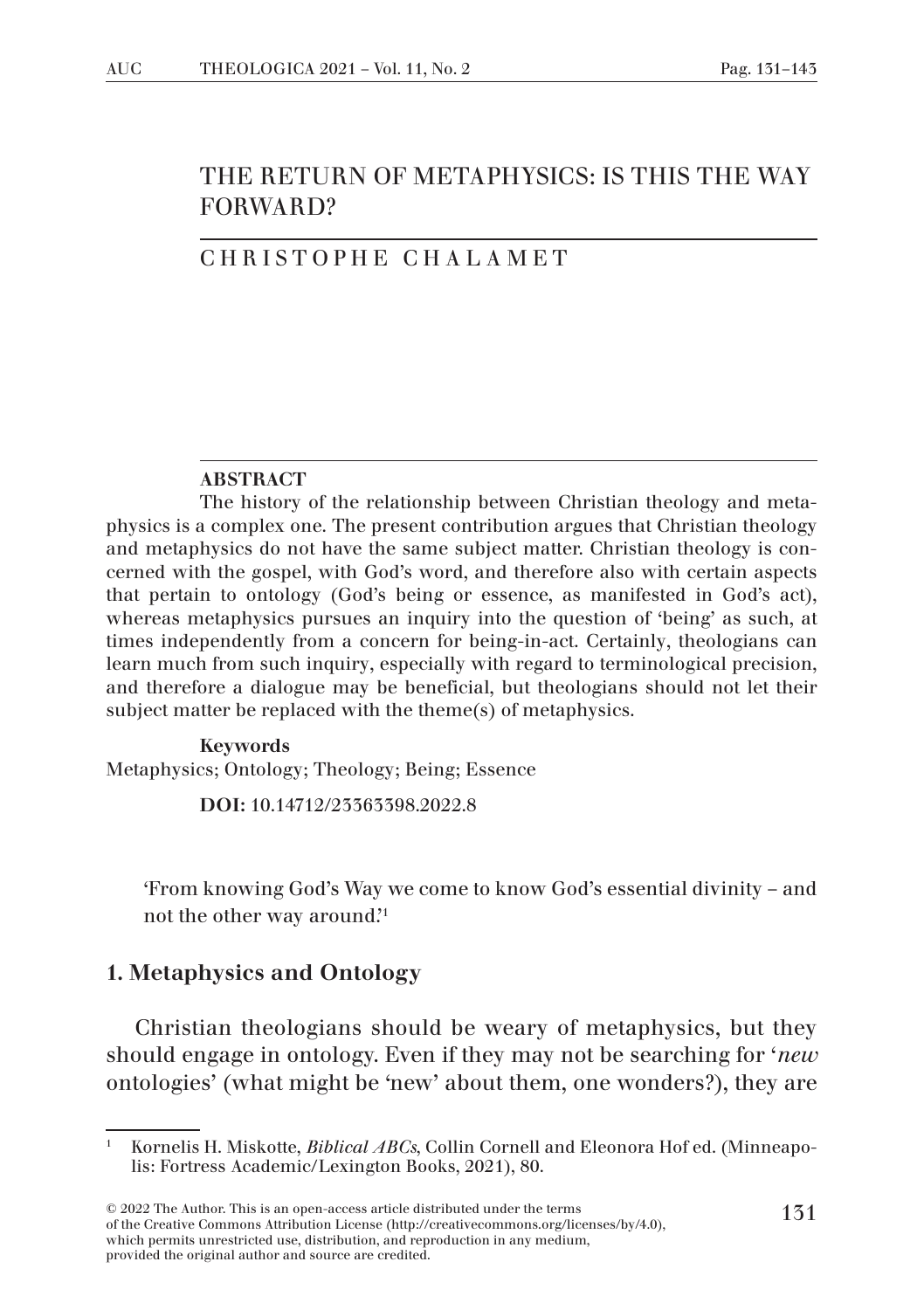# THE RETURN OF METAPHYSICS: IS THIS THE WAY FORWARD?

### CHRISTOPHE CHALAMET

#### ABSTRACT

The history of the relationship between Christian theology and metaphysics is a complex one. The present contribution argues that Christian theology and metaphysics do not have the same subject matter. Christian theology is concerned with the gospel, with God's word, and therefore also with certain aspects that pertain to ontology (God's being or essence, as manifested in God's act), whereas metaphysics pursues an inquiry into the question of 'being' as such, at times independently from a concern for being-in-act. Certainly, theologians can learn much from such inquiry, especially with regard to terminological precision, and therefore a dialogue may be beneficial, but theologians should not let their subject matter be replaced with the theme(s) of metaphysics.

### Keywords Metaphysics; Ontology; Theology; Being; Essence

DOI: 10.14712/23363398.2022.8

'From knowing God's Way we come to know God's essential divinity – and not the other way around.'1

### 1. Metaphysics and Ontology

Christian theologians should be weary of metaphysics, but they should engage in ontology. Even if they may not be searching for '*new* ontologies' (what might be 'new' about them, one wonders?), they are

<sup>1</sup> Kornelis H. Miskotte, *Biblical ABCs*, Collin Cornell and Eleonora Hof ed. (Minneapolis: Fortress Academic/Lexington Books, 2021), 80.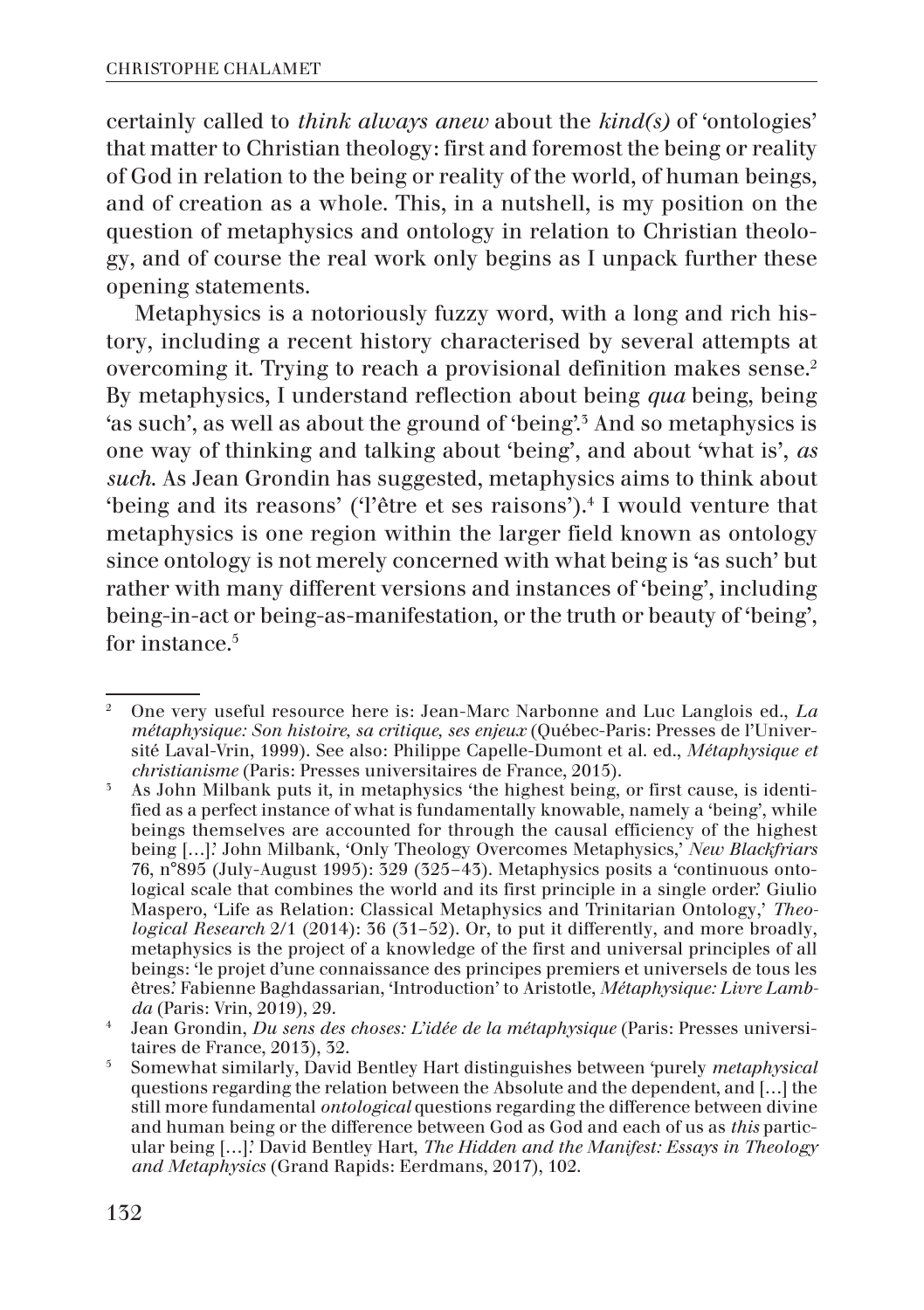certainly called to *think always anew* about the *kind(s)* of 'ontologies' that matter to Christian theology: first and foremost the being or reality of God in relation to the being or reality of the world, of human beings, and of creation as a whole. This, in a nutshell, is my position on the question of metaphysics and ontology in relation to Christian theology, and of course the real work only begins as I unpack further these opening statements.

Metaphysics is a notoriously fuzzy word, with a long and rich history, including a recent history characterised by several attempts at overcoming it. Trying to reach a provisional definition makes sense.2 By metaphysics, I understand reflection about being *qua* being, being 'as such', as well as about the ground of 'being'.3 And so metaphysics is one way of thinking and talking about 'being', and about 'what is', *as such*. As Jean Grondin has suggested, metaphysics aims to think about 'being and its reasons' ('l'être et ses raisons').<sup>4</sup> I would venture that metaphysics is one region within the larger field known as ontology since ontology is not merely concerned with what being is 'as such' but rather with many different versions and instances of 'being', including being-in-act or being-as-manifestation, or the truth or beauty of 'being', for instance.<sup>5</sup>

<sup>2</sup> One very useful resource here is: Jean-Marc Narbonne and Luc Langlois ed., *La métaphysique: Son histoire, sa critique, ses enjeux* (Québec-Paris: Presses de l'Université Laval-Vrin, 1999). See also: Philippe Capelle-Dumont et al. ed., *Métaphysique et christianisme* (Paris: Presses universitaires de France, 2015).

<sup>3</sup> As John Milbank puts it, in metaphysics 'the highest being, or first cause, is identified as a perfect instance of what is fundamentally knowable, namely a 'being', while beings themselves are accounted for through the causal efficiency of the highest being […].' John Milbank, 'Only Theology Overcomes Metaphysics,' *New Blackfriars* 76, n°895 (July-August 1995): 329 (325–43). Metaphysics posits a 'continuous ontological scale that combines the world and its first principle in a single order.' Giulio Maspero, 'Life as Relation: Classical Metaphysics and Trinitarian Ontology,' *Theological Research* 2/1 (2014): 36 (31–52). Or, to put it differently, and more broadly, metaphysics is the project of a knowledge of the first and universal principles of all beings: 'le projet d'une connaissance des principes premiers et universels de tous les êtres.' Fabienne Baghdassarian, 'Introduction' to Aristotle, *Métaphysique: Livre Lambda* (Paris: Vrin, 2019), 29.

<sup>4</sup> Jean Grondin, *Du sens des choses: L'idée de la métaphysique* (Paris: Presses universitaires de France, 2013), 32.

<sup>5</sup> Somewhat similarly, David Bentley Hart distinguishes between 'purely *metaphysical* questions regarding the relation between the Absolute and the dependent, and […] the still more fundamental *ontological* questions regarding the difference between divine and human being or the difference between God as God and each of us as *this* particular being […].' David Bentley Hart, *The Hidden and the Manifest: Essays in Theology and Metaphysics* (Grand Rapids: Eerdmans, 2017), 102.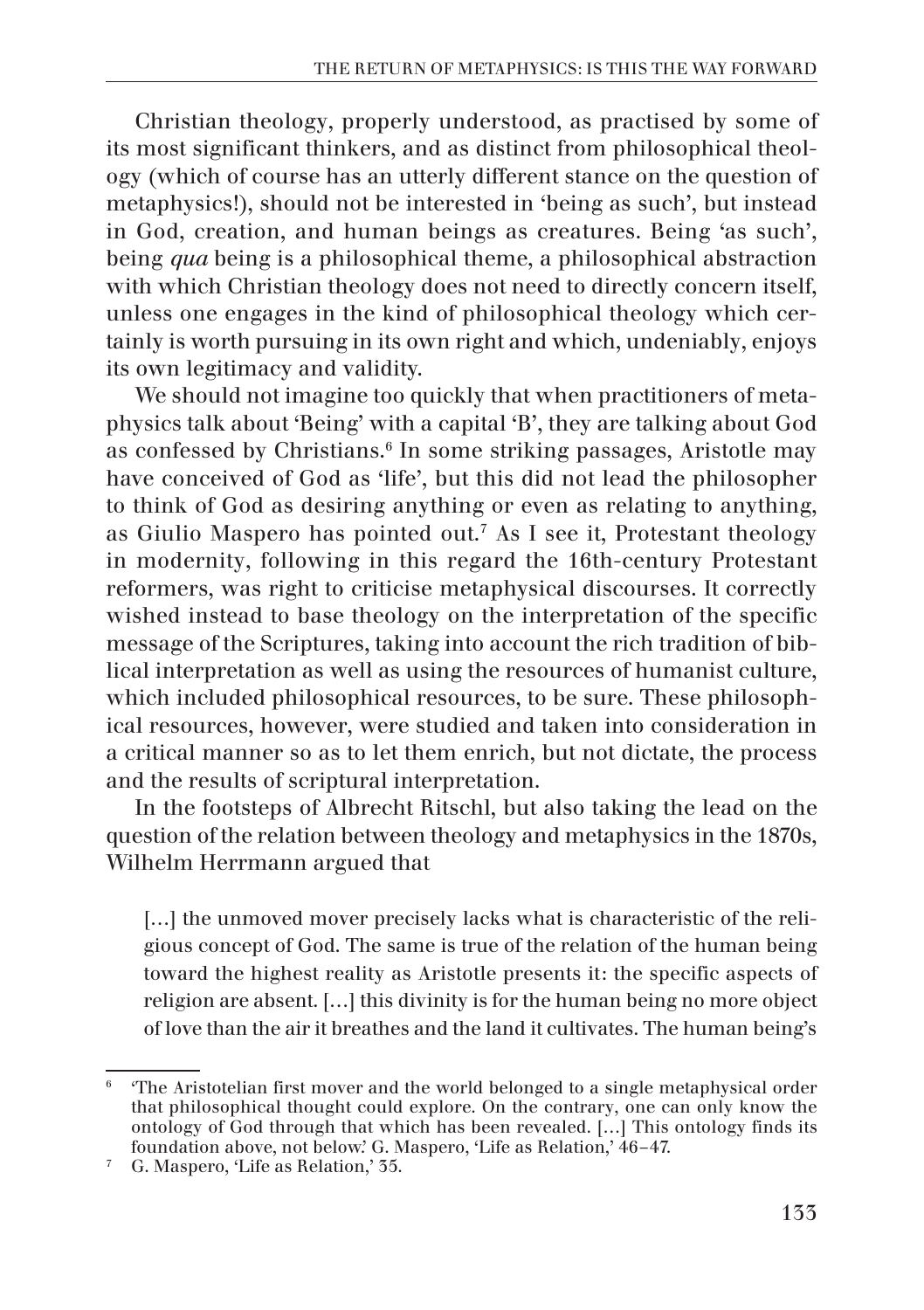Christian theology, properly understood, as practised by some of its most significant thinkers, and as distinct from philosophical theology (which of course has an utterly different stance on the question of metaphysics!), should not be interested in 'being as such', but instead in God, creation, and human beings as creatures. Being 'as such', being *qua* being is a philosophical theme, a philosophical abstraction with which Christian theology does not need to directly concern itself, unless one engages in the kind of philosophical theology which certainly is worth pursuing in its own right and which, undeniably, enjoys its own legitimacy and validity.

We should not imagine too quickly that when practitioners of metaphysics talk about 'Being' with a capital 'B', they are talking about God as confessed by Christians.<sup>6</sup> In some striking passages, Aristotle may have conceived of God as 'life', but this did not lead the philosopher to think of God as desiring anything or even as relating to anything, as Giulio Maspero has pointed out.7 As I see it, Protestant theology in modernity, following in this regard the 16th-century Protestant reformers, was right to criticise metaphysical discourses. It correctly wished instead to base theology on the interpretation of the specific message of the Scriptures, taking into account the rich tradition of biblical interpretation as well as using the resources of humanist culture, which included philosophical resources, to be sure. These philosophical resources, however, were studied and taken into consideration in a critical manner so as to let them enrich, but not dictate, the process and the results of scriptural interpretation.

In the footsteps of Albrecht Ritschl, but also taking the lead on the question of the relation between theology and metaphysics in the 1870s, Wilhelm Herrmann argued that

[...] the unmoved mover precisely lacks what is characteristic of the religious concept of God. The same is true of the relation of the human being toward the highest reality as Aristotle presents it: the specific aspects of religion are absent. […] this divinity is for the human being no more object of love than the air it breathes and the land it cultivates. The human being's

<sup>6</sup> 'The Aristotelian first mover and the world belonged to a single metaphysical order that philosophical thought could explore. On the contrary, one can only know the ontology of God through that which has been revealed. […] This ontology finds its foundation above, not below.' G. Maspero, 'Life as Relation,' 46–47.

<sup>7</sup> G. Maspero, 'Life as Relation,' 35.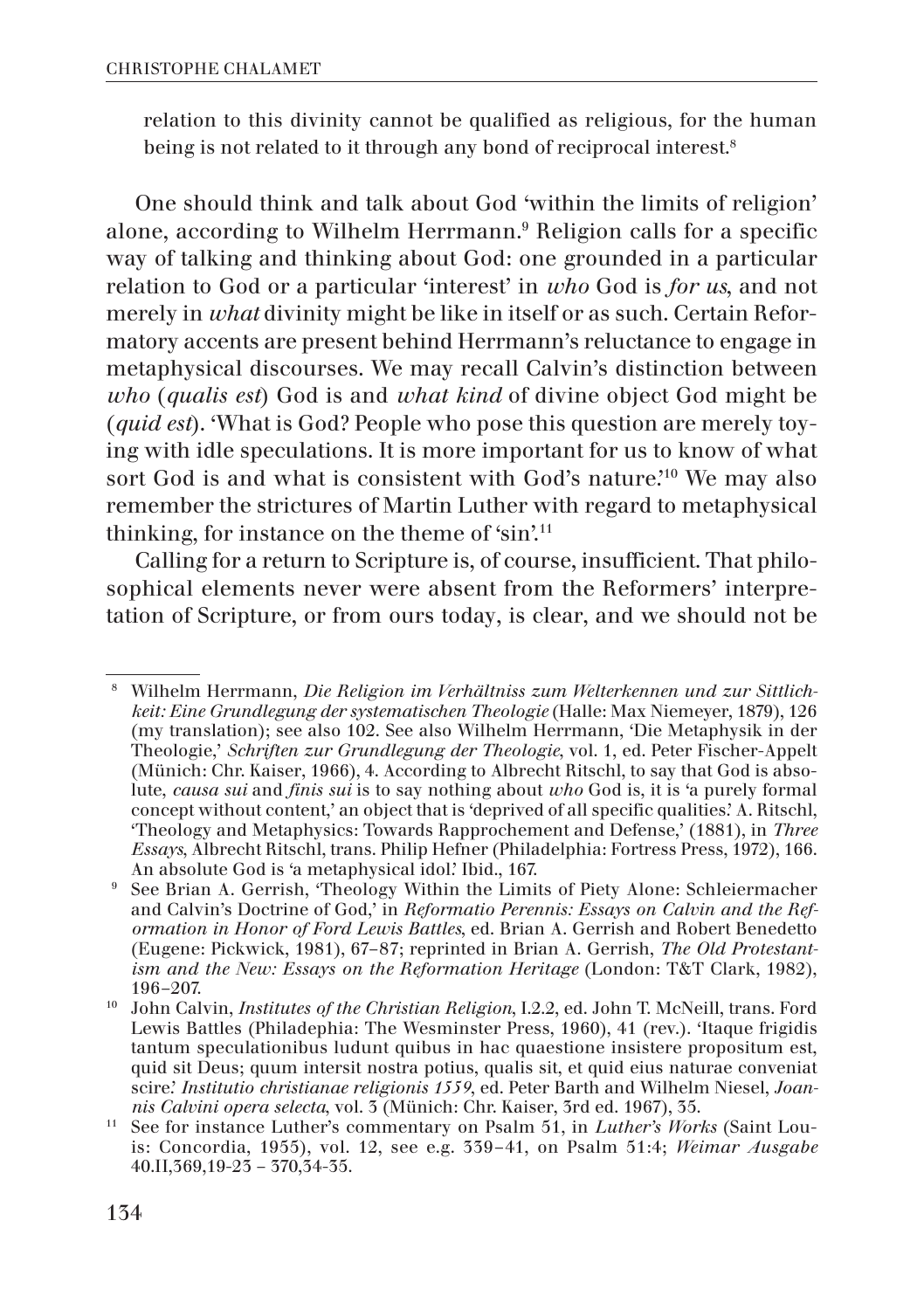relation to this divinity cannot be qualified as religious, for the human being is not related to it through any bond of reciprocal interest.<sup>8</sup>

One should think and talk about God 'within the limits of religion' alone, according to Wilhelm Herrmann.9 Religion calls for a specific way of talking and thinking about God: one grounded in a particular relation to God or a particular 'interest' in *who* God is *for us*, and not merely in *what* divinity might be like in itself or as such. Certain Reformatory accents are present behind Herrmann's reluctance to engage in metaphysical discourses. We may recall Calvin's distinction between *who* (*qualis est*) God is and *what kind* of divine object God might be (*quid est*). 'What is God? People who pose this question are merely toying with idle speculations. It is more important for us to know of what sort God is and what is consistent with God's nature.'10 We may also remember the strictures of Martin Luther with regard to metaphysical thinking, for instance on the theme of 'sin'.11

Calling for a return to Scripture is, of course, insufficient. That philosophical elements never were absent from the Reformers' interpretation of Scripture, or from ours today, is clear, and we should not be

<sup>8</sup> Wilhelm Herrmann, *Die Religion im Verhältniss zum Welterkennen und zur Sittlichkeit: Eine Grundlegung der systematischen Theologie* (Halle: Max Niemeyer, 1879), 126 (my translation); see also 102. See also Wilhelm Herrmann, 'Die Metaphysik in der Theologie,' *Schriften zur Grundlegung der Theologie*, vol. 1, ed. Peter Fischer-Appelt (Münich: Chr. Kaiser, 1966), 4. According to Albrecht Ritschl, to say that God is absolute, *causa sui* and *finis sui* is to say nothing about *who* God is, it is 'a purely formal concept without content,' an object that is 'deprived of all specific qualities.' A. Ritschl, 'Theology and Metaphysics: Towards Rapprochement and Defense,' (1881), in *Three Essays*, Albrecht Ritschl, trans. Philip Hefner (Philadelphia: Fortress Press, 1972), 166. An absolute God is 'a metaphysical idol.' Ibid., 167.

<sup>&</sup>lt;sup>9</sup> See Brian A. Gerrish, 'Theology Within the Limits of Piety Alone: Schleiermacher and Calvin's Doctrine of God,' in *Reformatio Perennis: Essays on Calvin and the Reformation in Honor of Ford Lewis Battles*, ed. Brian A. Gerrish and Robert Benedetto (Eugene: Pickwick, 1981), 67–87; reprinted in Brian A. Gerrish, *The Old Protestantism and the New: Essays on the Reformation Heritage* (London: T&T Clark, 1982), 196–207.

<sup>10</sup> John Calvin, *Institutes of the Christian Religion*, I.2.2, ed. John T. McNeill, trans. Ford Lewis Battles (Philadephia: The Wesminster Press, 1960), 41 (rev.). 'Itaque frigidis tantum speculationibus ludunt quibus in hac quaestione insistere propositum est, quid sit Deus; quum intersit nostra potius, qualis sit, et quid eius naturae conveniat scire.' *Institutio christianae religionis 1559*, ed. Peter Barth and Wilhelm Niesel, *Joannis Calvini opera selecta*, vol. 3 (Münich: Chr. Kaiser, 3rd ed. 1967), 35.

<sup>&</sup>lt;sup>11</sup> See for instance Luther's commentary on Psalm 51, in *Luther's Works* (Saint Louis: Concordia, 1955), vol. 12, see e.g. 339–41, on Psalm 51:4; *Weimar Ausgabe* 40.II,369,19-23 – 370,34-35.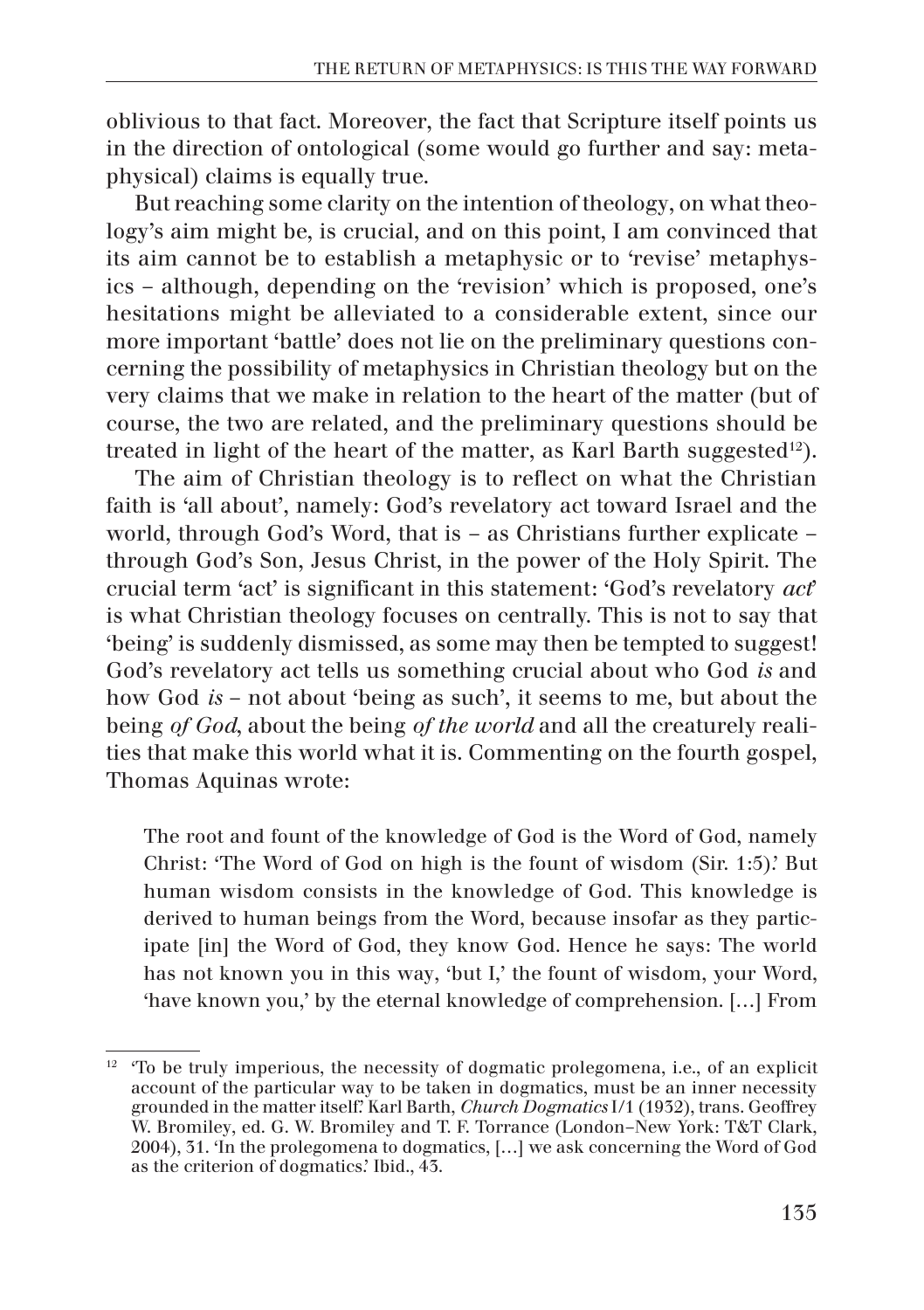oblivious to that fact. Moreover, the fact that Scripture itself points us in the direction of ontological (some would go further and say: metaphysical) claims is equally true.

But reaching some clarity on the intention of theology, on what theology's aim might be, is crucial, and on this point, I am convinced that its aim cannot be to establish a metaphysic or to 'revise' metaphysics – although, depending on the 'revision' which is proposed, one's hesitations might be alleviated to a considerable extent, since our more important 'battle' does not lie on the preliminary questions concerning the possibility of metaphysics in Christian theology but on the very claims that we make in relation to the heart of the matter (but of course, the two are related, and the preliminary questions should be treated in light of the heart of the matter, as Karl Barth suggested<sup>12</sup>).

The aim of Christian theology is to reflect on what the Christian faith is 'all about', namely: God's revelatory act toward Israel and the world, through God's Word, that is – as Christians further explicate – through God's Son, Jesus Christ, in the power of the Holy Spirit. The crucial term 'act' is significant in this statement: 'God's revelatory *act*' is what Christian theology focuses on centrally. This is not to say that 'being' is suddenly dismissed, as some may then be tempted to suggest! God's revelatory act tells us something crucial about who God *is* and how God *is* – not about 'being as such', it seems to me, but about the being *of God*, about the being *of the world* and all the creaturely realities that make this world what it is. Commenting on the fourth gospel, Thomas Aquinas wrote:

The root and fount of the knowledge of God is the Word of God, namely Christ: 'The Word of God on high is the fount of wisdom (Sir. 1:5).' But human wisdom consists in the knowledge of God. This knowledge is derived to human beings from the Word, because insofar as they participate [in] the Word of God, they know God. Hence he says: The world has not known you in this way, 'but I,' the fount of wisdom, your Word, 'have known you,' by the eternal knowledge of comprehension. […] From

 $12$  To be truly imperious, the necessity of dogmatic prolegomena, i.e., of an explicit account of the particular way to be taken in dogmatics, must be an inner necessity grounded in the matter itself.' Karl Barth, *Church Dogmatics* I/1 (1932), trans. Geoffrey W. Bromiley, ed. G. W. Bromiley and T. F. Torrance (London–New York: T&T Clark, 2004), 31. 'In the prolegomena to dogmatics, […] we ask concerning the Word of God as the criterion of dogmatics.' Ibid., 43.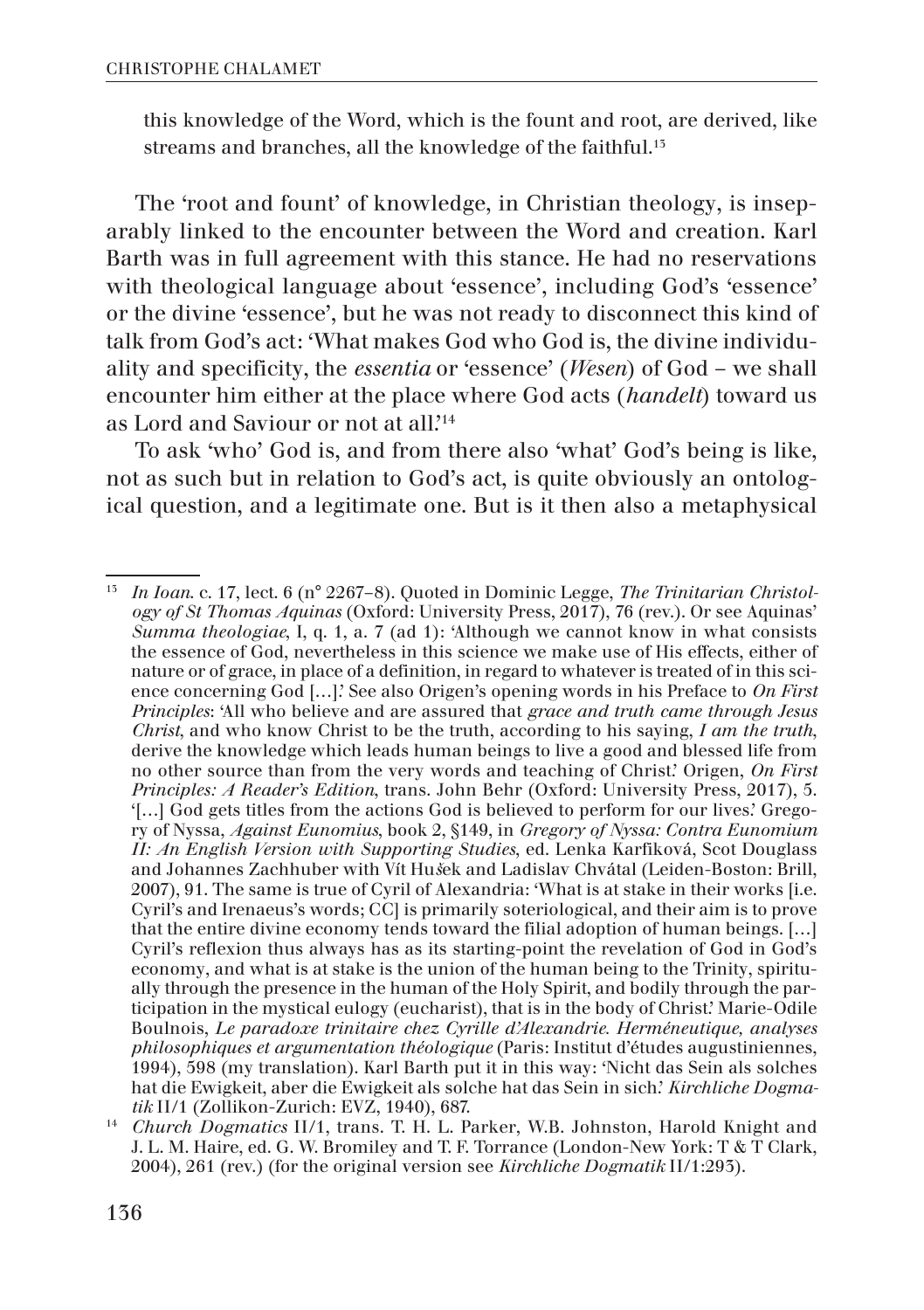this knowledge of the Word, which is the fount and root, are derived, like streams and branches, all the knowledge of the faithful.<sup>15</sup>

The 'root and fount' of knowledge, in Christian theology, is inseparably linked to the encounter between the Word and creation. Karl Barth was in full agreement with this stance. He had no reservations with theological language about 'essence', including God's 'essence' or the divine 'essence', but he was not ready to disconnect this kind of talk from God's act: 'What makes God who God is, the divine individuality and specificity, the *essentia* or 'essence' (*Wesen*) of God – we shall encounter him either at the place where God acts (*handelt*) toward us as Lord and Saviour or not at all.'14

To ask 'who' God is, and from there also 'what' God's being is like, not as such but in relation to God's act, is quite obviously an ontological question, and a legitimate one. But is it then also a metaphysical

<sup>13</sup> *In Ioan*. c. 17, lect. 6 (n° 2267–8). Quoted in Dominic Legge, *The Trinitarian Christology of St Thomas Aquinas* (Oxford: University Press, 2017), 76 (rev.). Or see Aquinas' *Summa theologiae*, I, q. 1, a. 7 (ad 1): 'Although we cannot know in what consists the essence of God, nevertheless in this science we make use of His effects, either of nature or of grace, in place of a definition, in regard to whatever is treated of in this science concerning God […].' See also Origen's opening words in his Preface to *On First Principles*: 'All who believe and are assured that *grace and truth came through Jesus Christ*, and who know Christ to be the truth, according to his saying, *I am the truth*, derive the knowledge which leads human beings to live a good and blessed life from no other source than from the very words and teaching of Christ.' Origen, *On First Principles: A Reader's Edition*, trans. John Behr (Oxford: University Press, 2017), 5. '[…] God gets titles from the actions God is believed to perform for our lives.' Gregory of Nyssa, *Against Eunomius*, book 2, §149, in *Gregory of Nyssa: Contra Eunomium II: An English Version with Supporting Studies*, ed. Lenka Karfiková, Scot Douglass and Johannes Zachhuber with Vít Hu*š*ek and Ladislav Chvátal (Leiden-Boston: Brill, 2007), 91. The same is true of Cyril of Alexandria: 'What is at stake in their works [i.e. Cyril's and Irenaeus's words; CC] is primarily soteriological, and their aim is to prove that the entire divine economy tends toward the filial adoption of human beings. […] Cyril's reflexion thus always has as its starting-point the revelation of God in God's economy, and what is at stake is the union of the human being to the Trinity, spiritually through the presence in the human of the Holy Spirit, and bodily through the participation in the mystical eulogy (eucharist), that is in the body of Christ.' Marie-Odile Boulnois, *Le paradoxe trinitaire chez Cyrille d'Alexandrie. Herméneutique, analyses philosophiques et argumentation théologique* (Paris: Institut d'études augustiniennes, 1994), 598 (my translation). Karl Barth put it in this way: 'Nicht das Sein als solches hat die Ewigkeit, aber die Ewigkeit als solche hat das Sein in sich.' *Kirchliche Dogmatik* II/1 (Zollikon-Zurich: EVZ, 1940), 687.

<sup>14</sup> *Church Dogmatics* II/1, trans. T. H. L. Parker, W.B. Johnston, Harold Knight and J. L. M. Haire, ed. G. W. Bromiley and T. F. Torrance (London-New York: T & T Clark, 2004), 261 (rev.) (for the original version see *Kirchliche Dogmatik* II/1:293).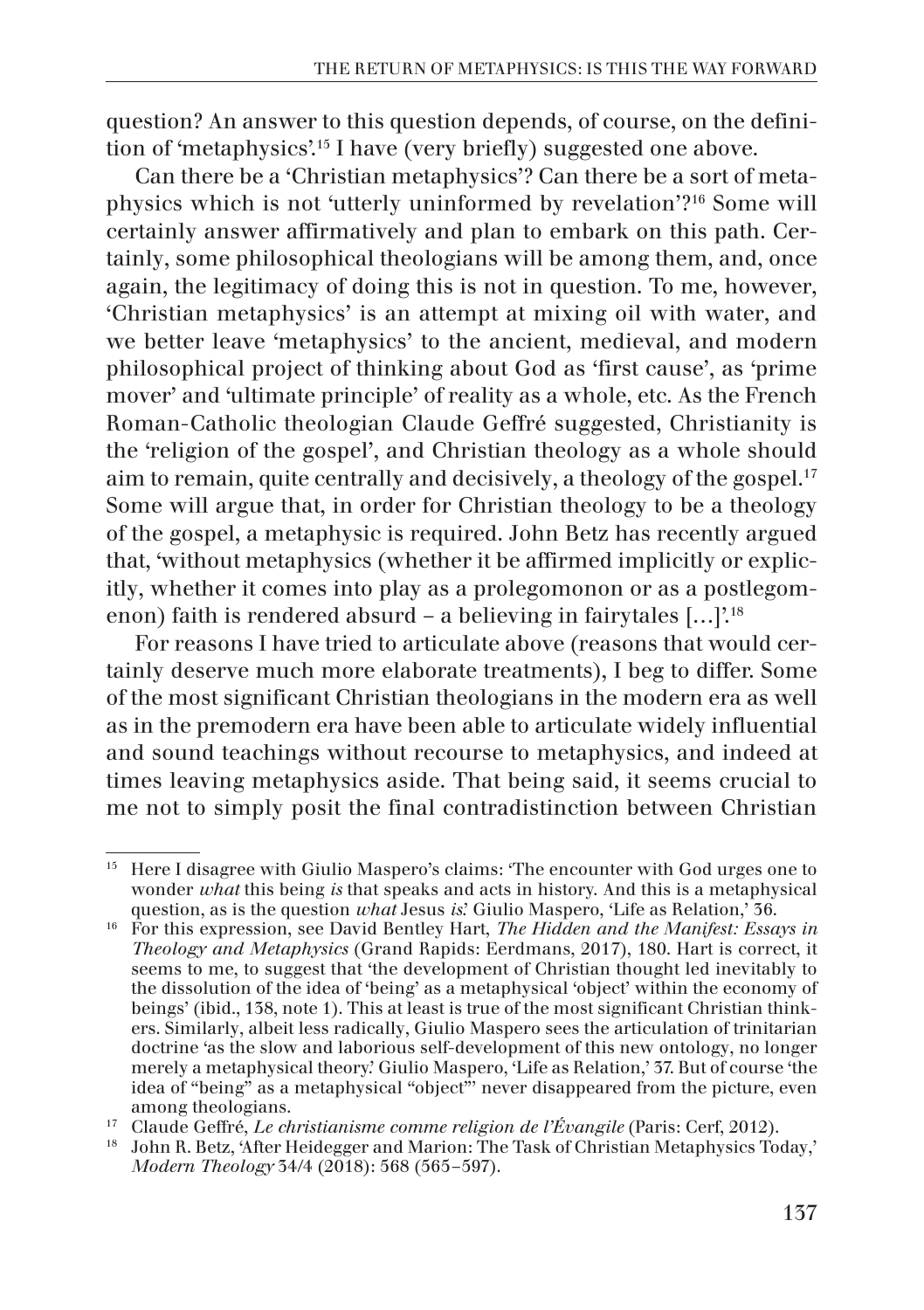question? An answer to this question depends, of course, on the definition of 'metaphysics'.15 I have (very briefly) suggested one above.

Can there be a 'Christian metaphysics'? Can there be a sort of metaphysics which is not 'utterly uninformed by revelation'?16 Some will certainly answer affirmatively and plan to embark on this path. Certainly, some philosophical theologians will be among them, and, once again, the legitimacy of doing this is not in question. To me, however, 'Christian metaphysics' is an attempt at mixing oil with water, and we better leave 'metaphysics' to the ancient, medieval, and modern philosophical project of thinking about God as 'first cause', as 'prime mover' and 'ultimate principle' of reality as a whole, etc. As the French Roman-Catholic theologian Claude Geffré suggested, Christianity is the 'religion of the gospel', and Christian theology as a whole should aim to remain, quite centrally and decisively, a theology of the gospel.<sup>17</sup> Some will argue that, in order for Christian theology to be a theology of the gospel, a metaphysic is required. John Betz has recently argued that, 'without metaphysics (whether it be affirmed implicitly or explicitly, whether it comes into play as a prolegomonon or as a postlegomenon) faith is rendered absurd – a believing in fairytales […]'.18

For reasons I have tried to articulate above (reasons that would certainly deserve much more elaborate treatments), I beg to differ. Some of the most significant Christian theologians in the modern era as well as in the premodern era have been able to articulate widely influential and sound teachings without recourse to metaphysics, and indeed at times leaving metaphysics aside. That being said, it seems crucial to me not to simply posit the final contradistinction between Christian

<sup>15</sup> Here I disagree with Giulio Maspero's claims: 'The encounter with God urges one to wonder *what* this being *is* that speaks and acts in history. And this is a metaphysical question, as is the question *what* Jesus *is*.' Giulio Maspero, 'Life as Relation,' 36.

<sup>16</sup> For this expression, see David Bentley Hart, *The Hidden and the Manifest: Essays in Theology and Metaphysics* (Grand Rapids: Eerdmans, 2017), 180. Hart is correct, it seems to me, to suggest that 'the development of Christian thought led inevitably to the dissolution of the idea of 'being' as a metaphysical 'object' within the economy of beings' (ibid., 138, note 1). This at least is true of the most significant Christian thinkers. Similarly, albeit less radically, Giulio Maspero sees the articulation of trinitarian doctrine 'as the slow and laborious self-development of this new ontology, no longer merely a metaphysical theory.' Giulio Maspero, 'Life as Relation,' 37. But of course 'the idea of "being" as a metaphysical "object"' never disappeared from the picture, even among theologians.

<sup>17</sup> Claude Geffré, *Le christianisme comme religion de l'Évangile* (Paris: Cerf, 2012).

<sup>18</sup> John R. Betz, 'After Heidegger and Marion: The Task of Christian Metaphysics Today,' *Modern Theology* 34/4 (2018): 568 (565–597).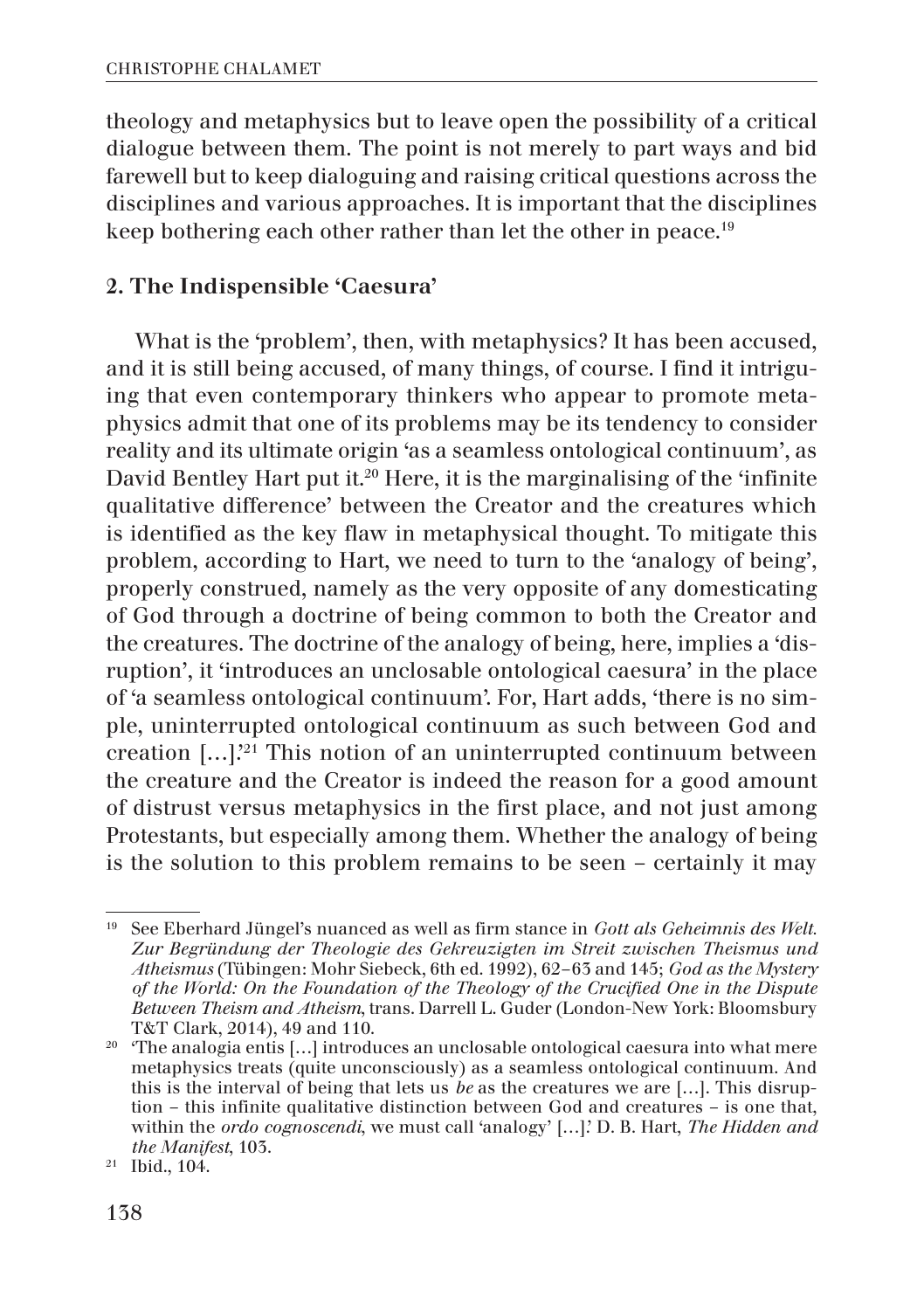theology and metaphysics but to leave open the possibility of a critical dialogue between them. The point is not merely to part ways and bid farewell but to keep dialoguing and raising critical questions across the disciplines and various approaches. It is important that the disciplines keep bothering each other rather than let the other in peace.<sup>19</sup>

### 2. The Indispensible 'Caesura'

What is the 'problem', then, with metaphysics? It has been accused, and it is still being accused, of many things, of course. I find it intriguing that even contemporary thinkers who appear to promote metaphysics admit that one of its problems may be its tendency to consider reality and its ultimate origin 'as a seamless ontological continuum', as David Bentley Hart put it.<sup>20</sup> Here, it is the marginalising of the 'infinite qualitative difference' between the Creator and the creatures which is identified as the key flaw in metaphysical thought. To mitigate this problem, according to Hart, we need to turn to the 'analogy of being', properly construed, namely as the very opposite of any domesticating of God through a doctrine of being common to both the Creator and the creatures. The doctrine of the analogy of being, here, implies a 'disruption', it 'introduces an unclosable ontological caesura' in the place of 'a seamless ontological continuum'. For, Hart adds, 'there is no simple, uninterrupted ontological continuum as such between God and creation […].'21 This notion of an uninterrupted continuum between the creature and the Creator is indeed the reason for a good amount of distrust versus metaphysics in the first place, and not just among Protestants, but especially among them. Whether the analogy of being is the solution to this problem remains to be seen – certainly it may

<sup>19</sup> See Eberhard Jüngel's nuanced as well as firm stance in *Gott als Geheimnis des Welt. Zur Begründung der Theologie des Gekreuzigten im Streit zwischen Theismus und Atheismus* (Tübingen: Mohr Siebeck, 6th ed. 1992), 62–63 and 145; *God as the Mystery of the World: On the Foundation of the Theology of the Crucified One in the Dispute Between Theism and Atheism*, trans. Darrell L. Guder (London-New York: Bloomsbury T&T Clark, 2014), 49 and 110.

<sup>&</sup>lt;sup>20</sup> The analogia entis [...] introduces an unclosable ontological caesura into what mere metaphysics treats (quite unconsciously) as a seamless ontological continuum. And this is the interval of being that lets us *be* as the creatures we are […]. This disruption – this infinite qualitative distinction between God and creatures – is one that, within the *ordo cognoscendi*, we must call 'analogy' […].' D. B. Hart, *The Hidden and the Manifest*, 103.

<sup>21</sup> Ibid., 104.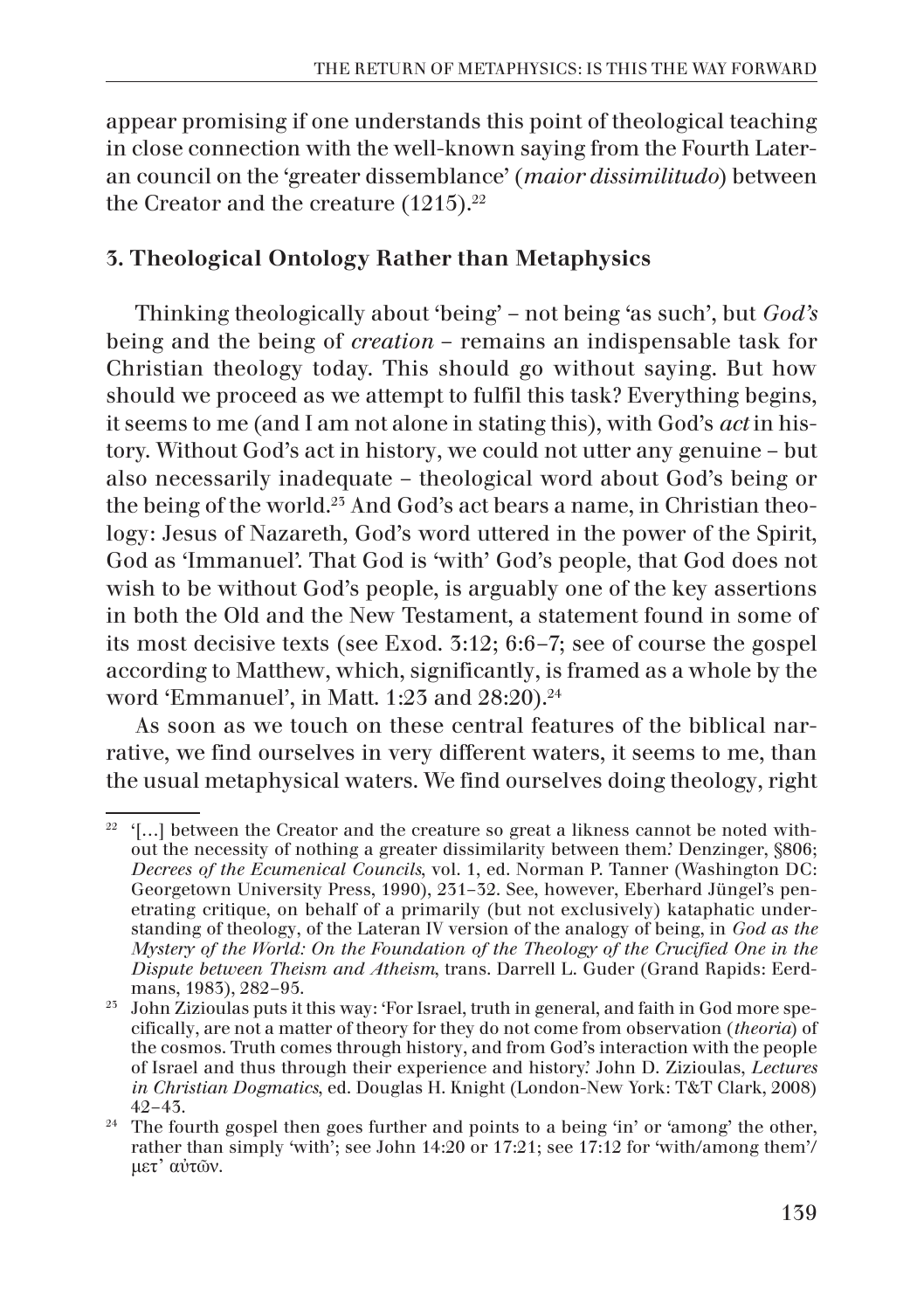appear promising if one understands this point of theological teaching in close connection with the well-known saying from the Fourth Lateran council on the 'greater dissemblance' (*maior dissimilitudo*) between the Creator and the creature  $(1215).^{22}$ 

## 3. Theological Ontology Rather than Metaphysics

Thinking theologically about 'being' – not being 'as such', but *God's* being and the being of *creation* – remains an indispensable task for Christian theology today. This should go without saying. But how should we proceed as we attempt to fulfil this task? Everything begins, it seems to me (and I am not alone in stating this), with God's *act* in history. Without God's act in history, we could not utter any genuine – but also necessarily inadequate – theological word about God's being or the being of the world.<sup>25</sup> And God's act bears a name, in Christian theology: Jesus of Nazareth, God's word uttered in the power of the Spirit, God as 'Immanuel'. That God is 'with' God's people, that God does not wish to be without God's people, is arguably one of the key assertions in both the Old and the New Testament, a statement found in some of its most decisive texts (see Exod. 3:12; 6:6–7; see of course the gospel according to Matthew, which, significantly, is framed as a whole by the word 'Emmanuel', in Matt. 1:23 and 28:20).24

As soon as we touch on these central features of the biblical narrative, we find ourselves in very different waters, it seems to me, than the usual metaphysical waters. We find ourselves doing theology, right

 $22$  '[...] between the Creator and the creature so great a likness cannot be noted without the necessity of nothing a greater dissimilarity between them.' Denzinger, §806; *Decrees of the Ecumenical Councils*, vol. 1, ed. Norman P. Tanner (Washington DC: Georgetown University Press, 1990), 231–32. See, however, Eberhard Jüngel's penetrating critique, on behalf of a primarily (but not exclusively) kataphatic understanding of theology, of the Lateran IV version of the analogy of being, in *God as the Mystery of the World: On the Foundation of the Theology of the Crucified One in the Dispute between Theism and Atheism*, trans. Darrell L. Guder (Grand Rapids: Eerdmans, 1983), 282–95.

<sup>&</sup>lt;sup>25</sup> John Zizioulas puts it this way: 'For Israel, truth in general, and faith in God more specifically, are not a matter of theory for they do not come from observation (*theoria*) of the cosmos. Truth comes through history, and from God's interaction with the people of Israel and thus through their experience and history.' John D. Zizioulas, *Lectures in Christian Dogmatics*, ed. Douglas H. Knight (London-New York: T&T Clark, 2008) 42–43.

<sup>&</sup>lt;sup>24</sup> The fourth gospel then goes further and points to a being 'in' or 'among' the other, rather than simply 'with'; see John 14:20 or 17:21; see 17:12 for 'with/among them'/ μετ' αὐτῶν.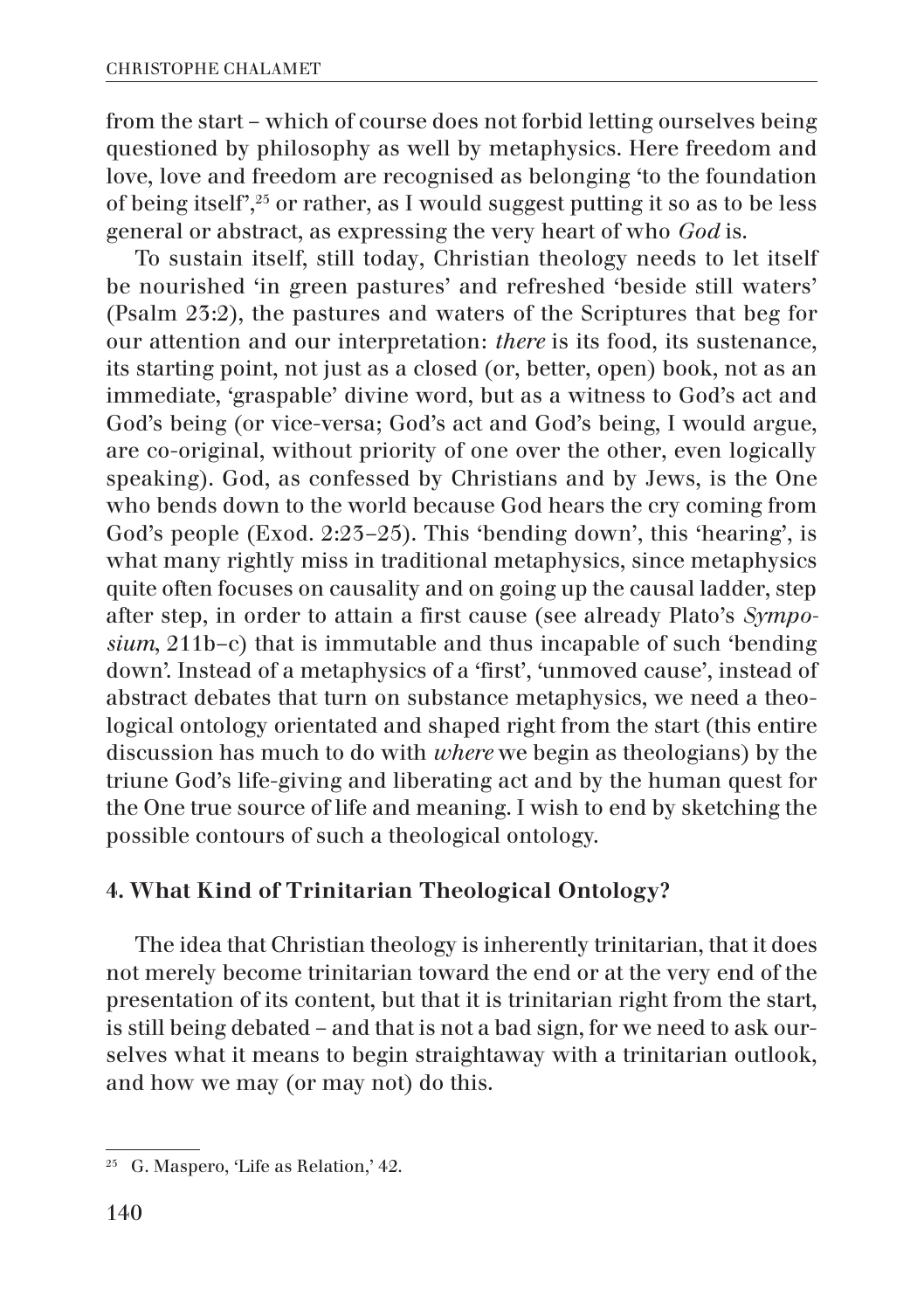from the start – which of course does not forbid letting ourselves being questioned by philosophy as well by metaphysics. Here freedom and love, love and freedom are recognised as belonging 'to the foundation of being itself',25 or rather, as I would suggest putting it so as to be less general or abstract, as expressing the very heart of who *God* is.

To sustain itself, still today, Christian theology needs to let itself be nourished 'in green pastures' and refreshed 'beside still waters' (Psalm 23:2), the pastures and waters of the Scriptures that beg for our attention and our interpretation: *there* is its food, its sustenance, its starting point, not just as a closed (or, better, open) book, not as an immediate, 'graspable' divine word, but as a witness to God's act and God's being (or vice-versa; God's act and God's being, I would argue, are co-original, without priority of one over the other, even logically speaking). God, as confessed by Christians and by Jews, is the One who bends down to the world because God hears the cry coming from God's people (Exod. 2:23–25). This 'bending down', this 'hearing', is what many rightly miss in traditional metaphysics, since metaphysics quite often focuses on causality and on going up the causal ladder, step after step, in order to attain a first cause (see already Plato's *Symposium*, 211b–c) that is immutable and thus incapable of such 'bending down'. Instead of a metaphysics of a 'first', 'unmoved cause', instead of abstract debates that turn on substance metaphysics, we need a theological ontology orientated and shaped right from the start (this entire discussion has much to do with *where* we begin as theologians) by the triune God's life-giving and liberating act and by the human quest for the One true source of life and meaning. I wish to end by sketching the possible contours of such a theological ontology.

## 4. What Kind of Trinitarian Theological Ontology?

The idea that Christian theology is inherently trinitarian, that it does not merely become trinitarian toward the end or at the very end of the presentation of its content, but that it is trinitarian right from the start, is still being debated – and that is not a bad sign, for we need to ask ourselves what it means to begin straightaway with a trinitarian outlook, and how we may (or may not) do this.

 $25$  G. Maspero, 'Life as Relation,' 42.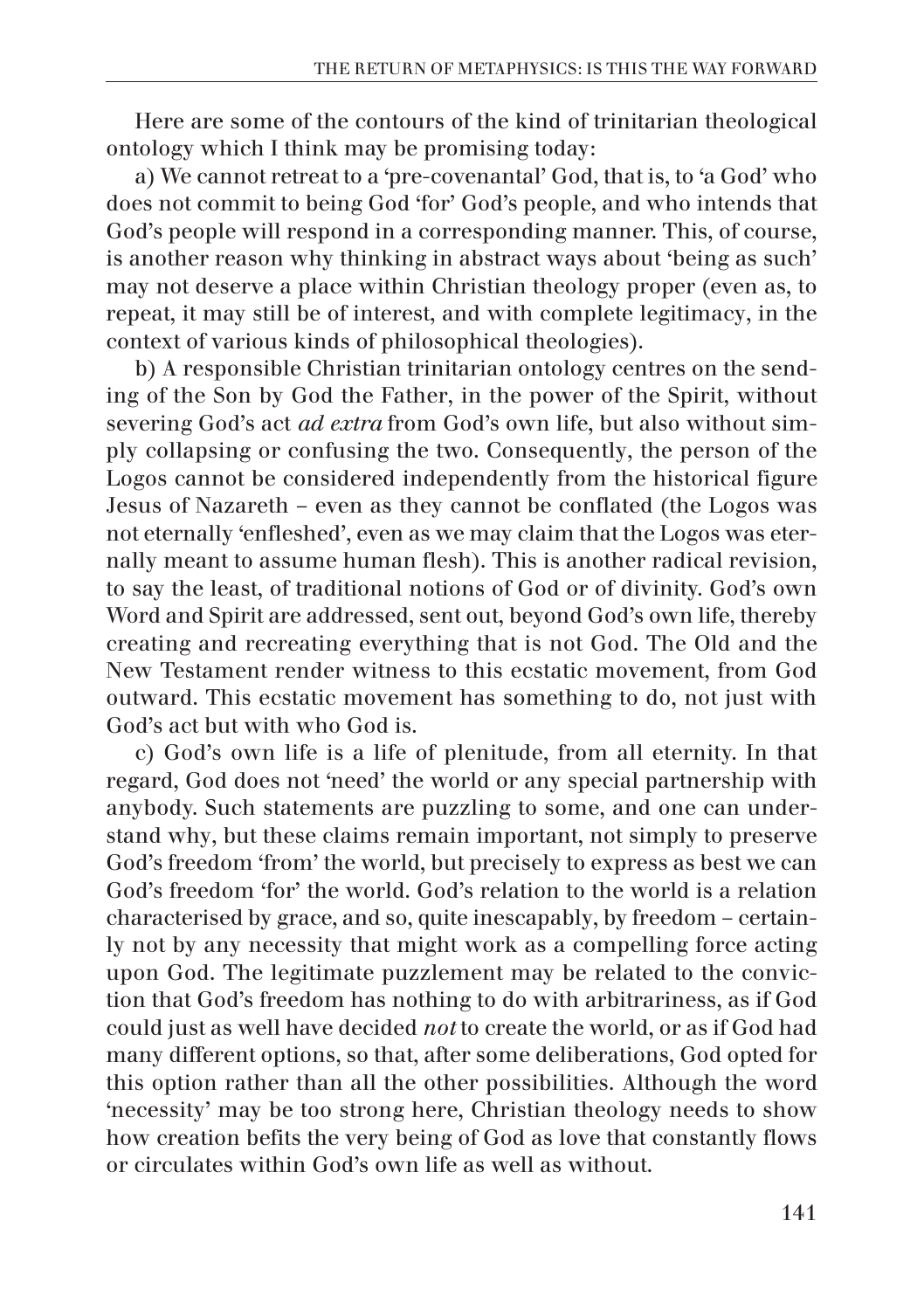Here are some of the contours of the kind of trinitarian theological ontology which I think may be promising today:

a) We cannot retreat to a 'pre-covenantal' God, that is, to 'a God' who does not commit to being God 'for' God's people, and who intends that God's people will respond in a corresponding manner. This, of course, is another reason why thinking in abstract ways about 'being as such' may not deserve a place within Christian theology proper (even as, to repeat, it may still be of interest, and with complete legitimacy, in the context of various kinds of philosophical theologies).

b) A responsible Christian trinitarian ontology centres on the sending of the Son by God the Father, in the power of the Spirit, without severing God's act *ad extra* from God's own life, but also without simply collapsing or confusing the two. Consequently, the person of the Logos cannot be considered independently from the historical figure Jesus of Nazareth – even as they cannot be conflated (the Logos was not eternally 'enfleshed', even as we may claim that the Logos was eternally meant to assume human flesh). This is another radical revision, to say the least, of traditional notions of God or of divinity. God's own Word and Spirit are addressed, sent out, beyond God's own life, thereby creating and recreating everything that is not God. The Old and the New Testament render witness to this ecstatic movement, from God outward. This ecstatic movement has something to do, not just with God's act but with who God is.

c) God's own life is a life of plenitude, from all eternity. In that regard, God does not 'need' the world or any special partnership with anybody. Such statements are puzzling to some, and one can understand why, but these claims remain important, not simply to preserve God's freedom 'from' the world, but precisely to express as best we can God's freedom 'for' the world. God's relation to the world is a relation characterised by grace, and so, quite inescapably, by freedom – certainly not by any necessity that might work as a compelling force acting upon God. The legitimate puzzlement may be related to the conviction that God's freedom has nothing to do with arbitrariness, as if God could just as well have decided *not* to create the world, or as if God had many different options, so that, after some deliberations, God opted for this option rather than all the other possibilities. Although the word 'necessity' may be too strong here, Christian theology needs to show how creation befits the very being of God as love that constantly flows or circulates within God's own life as well as without.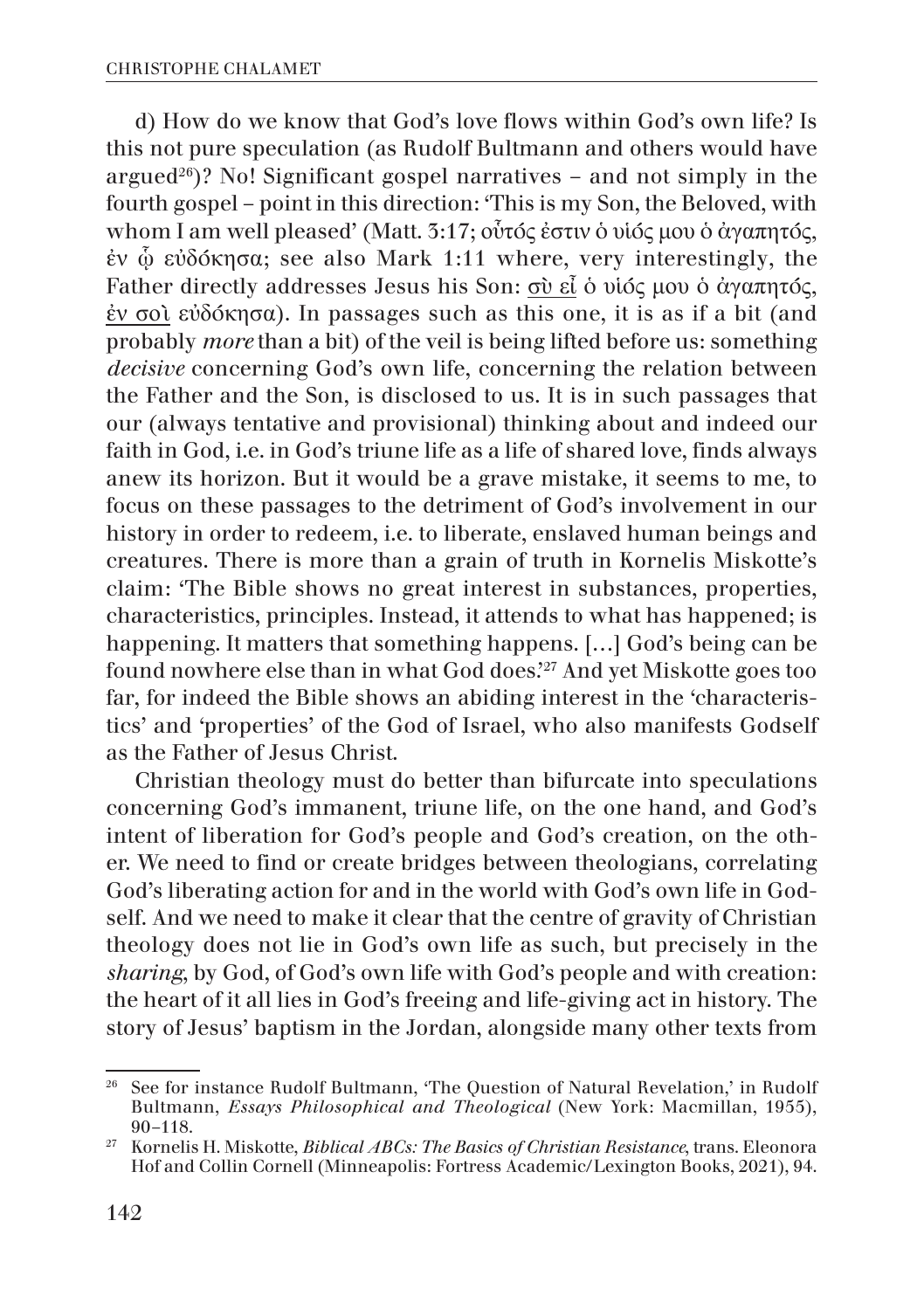d) How do we know that God's love flows within God's own life? Is this not pure speculation (as Rudolf Bultmann and others would have argued<sup>26</sup>)? No! Significant gospel narratives – and not simply in the fourth gospel – point in this direction: 'This is my Son, the Beloved, with whom I am well pleased' (Matt. 3:17; οὗτός ἐστιν ὁ υἱός μου ὁ ἀγαπητός, ἐν ᾧ εὐδόκησα; see also Mark 1:11 where, very interestingly, the Father directly addresses Jesus his Son: σὺ εἶ ὁ υἱός μου ὁ ἀγαπητός, ἐν σοὶ εὐδόκησα). In passages such as this one, it is as if a bit (and probably *more* than a bit) of the veil is being lifted before us: something *decisive* concerning God's own life, concerning the relation between the Father and the Son, is disclosed to us. It is in such passages that our (always tentative and provisional) thinking about and indeed our faith in God, i.e. in God's triune life as a life of shared love, finds always anew its horizon. But it would be a grave mistake, it seems to me, to focus on these passages to the detriment of God's involvement in our history in order to redeem, i.e. to liberate, enslaved human beings and creatures. There is more than a grain of truth in Kornelis Miskotte's claim: 'The Bible shows no great interest in substances, properties, characteristics, principles. Instead, it attends to what has happened; is happening. It matters that something happens. […] God's being can be found nowhere else than in what God does.'27 And yet Miskotte goes too far, for indeed the Bible shows an abiding interest in the 'characteristics' and 'properties' of the God of Israel, who also manifests Godself as the Father of Jesus Christ.

Christian theology must do better than bifurcate into speculations concerning God's immanent, triune life, on the one hand, and God's intent of liberation for God's people and God's creation, on the other. We need to find or create bridges between theologians, correlating God's liberating action for and in the world with God's own life in Godself. And we need to make it clear that the centre of gravity of Christian theology does not lie in God's own life as such, but precisely in the *sharing*, by God, of God's own life with God's people and with creation: the heart of it all lies in God's freeing and life-giving act in history. The story of Jesus' baptism in the Jordan, alongside many other texts from

<sup>&</sup>lt;sup>26</sup> See for instance Rudolf Bultmann, 'The Question of Natural Revelation,' in Rudolf Bultmann, *Essays Philosophical and Theological* (New York: Macmillan, 1955), 90–118.

<sup>27</sup> Kornelis H. Miskotte, *Biblical ABCs: The Basics of Christian Resistance*, trans. Eleonora Hof and Collin Cornell (Minneapolis: Fortress Academic/Lexington Books, 2021), 94.